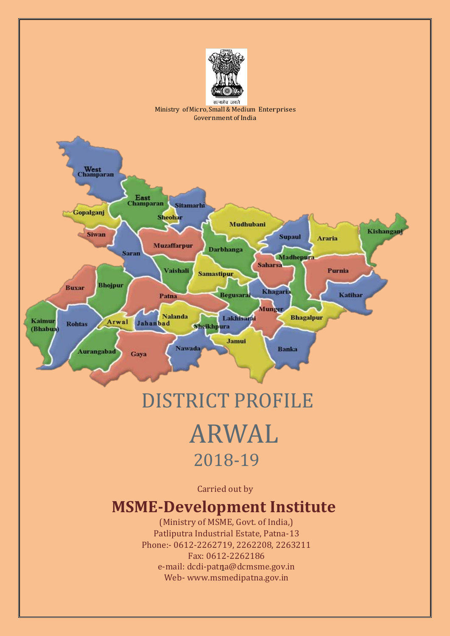

#### Ministry of Micro, Small & Medium Enterprises Government of India



# DISTRICT PROFILE ARWAL 2018-19

Carried out by

## **MSME-Development Institute**

e-mail: [dcdi-patna@dcmsme.gov.in](mailto:dcdi-patna@dcmsme.gov.in) (Ministry of MSME, Govt. of India,) Patliputra Industrial Estate, Patna-13 Phone:- 0612-2262719, 2262208, 2263211 Fax: 0612-2262186 Web- [www.msmedipatna.gov.in](http://www.msmedipatna.gov.in/)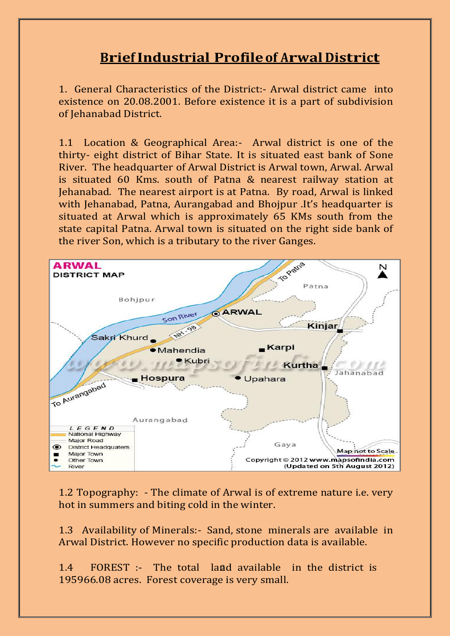## **BriefIndustrial Profileof Arwal District**

1. General Characteristics of the District:- Arwal district came into existence on 20.08.2001. Before existence it is a part of subdivision of Jehanabad District.

1.1 Location & Geographical Area:- Arwal district is one of the thirty- eight district of Bihar State. It is situated east bank of Sone River. The headquarter of Arwal District is Arwal town, Arwal. Arwal is situated 60 Kms. south of Patna & nearest railway station at Jehanabad. The nearest airport is at Patna. By road, Arwal is linked with Jehanabad, Patna, Aurangabad and Bhojpur .It's headquarter is situated at Arwal which is approximately 65 KMs south from the state capital Patna. Arwal town is situated on the right side bank of the river Son, which is a tributary to the river Ganges.



1.2 Topography: - The climate of Arwal is of extreme nature i.e. very hot in summers and biting cold in the winter.

1.3 Availability of Minerals:- Sand, stone minerals are available in Arwal District. However no specific production data is available.

2 1.4 FOREST :- The total land available in the district is 195966.08 acres. Forest coverage is very small.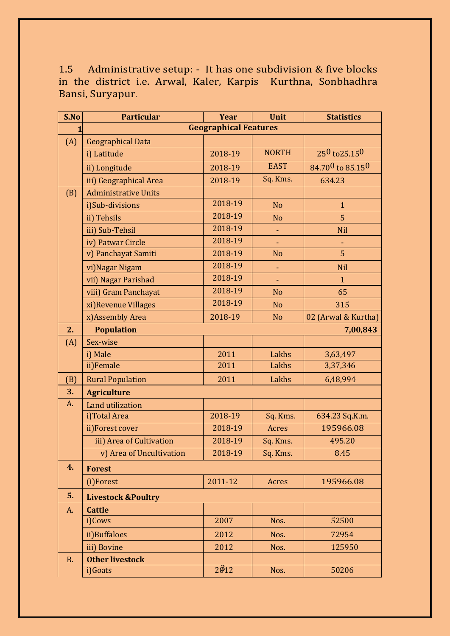1.5 Administrative setup: - It has one subdivision & five blocks in the district i.e. Arwal, Kaler, Karpis Kurthna, Sonbhadhra Bansi, Suryapur.

| S.No      | <b>Particular</b>             | <b>Year</b>        | <b>Unit</b>    | <b>Statistics</b>   |  |
|-----------|-------------------------------|--------------------|----------------|---------------------|--|
| 1         | <b>Geographical Features</b>  |                    |                |                     |  |
| (A)       | <b>Geographical Data</b>      |                    |                |                     |  |
|           | i) Latitude                   | 2018-19            | <b>NORTH</b>   | $25^0$ to $25.15^0$ |  |
|           | ii) Longitude                 | 2018-19            | <b>EAST</b>    | 84.700 to 85.150    |  |
|           | iii) Geographical Area        | 2018-19            | Sq. Kms.       | 634.23              |  |
| (B)       | <b>Administrative Units</b>   |                    |                |                     |  |
|           | i)Sub-divisions               | 2018-19            | <b>No</b>      | $\mathbf{1}$        |  |
|           | ii) Tehsils                   | 2018-19            | N <sub>o</sub> | 5                   |  |
|           | iii) Sub-Tehsil               | 2018-19            | ٠              | <b>Nil</b>          |  |
|           | iv) Patwar Circle             | 2018-19            |                |                     |  |
|           | v) Panchayat Samiti           | 2018-19            | <b>No</b>      | 5                   |  |
|           | vi) Nagar Nigam               | 2018-19            | ÷,             | <b>Nil</b>          |  |
|           | vii) Nagar Parishad           | 2018-19            | $\blacksquare$ | $\mathbf{1}$        |  |
|           | viii) Gram Panchayat          | 2018-19            | <b>No</b>      | 65                  |  |
|           | xi) Revenue Villages          | 2018-19            | <b>No</b>      | 315                 |  |
|           | x) Assembly Area              | 2018-19            | <b>No</b>      | 02 (Arwal & Kurtha) |  |
| 2.        | <b>Population</b>             |                    |                | 7,00,843            |  |
| (A)       | Sex-wise                      |                    |                |                     |  |
|           | i) Male                       | 2011               | Lakhs          | 3,63,497            |  |
|           | ii)Female                     | 2011               | Lakhs          | 3,37,346            |  |
| (B)       | <b>Rural Population</b>       | 2011               | Lakhs          | 6,48,994            |  |
| 3.        | <b>Agriculture</b>            |                    |                |                     |  |
| A.        | Land utilization              |                    |                |                     |  |
|           | i)Total Area                  | 2018-19            | Sq. Kms.       | 634.23 Sq.K.m.      |  |
|           | ii)Forest cover               | 2018-19            | Acres          | 195966.08           |  |
|           | iii) Area of Cultivation      | 2018-19            | Sq. Kms.       | 495.20              |  |
|           | v) Area of Uncultivation      | 2018-19            | Sq. Kms.       | 8.45                |  |
| 4.        | <b>Forest</b>                 |                    |                |                     |  |
|           | (i)Forest                     | 2011-12            | Acres          | 195966.08           |  |
| 5.        | <b>Livestock &amp;Poultry</b> |                    |                |                     |  |
| A.        | <b>Cattle</b>                 |                    |                |                     |  |
|           | i)Cows                        | 2007               | Nos.           | 52500               |  |
|           | ii)Buffaloes                  | 2012               | Nos.           | 72954               |  |
|           | iii) Bovine                   | 2012               | Nos.           | 125950              |  |
| <b>B.</b> | <b>Other livestock</b>        |                    |                |                     |  |
|           | i)Goats                       | $2\hat{\theta}$ 12 | Nos.           | 50206               |  |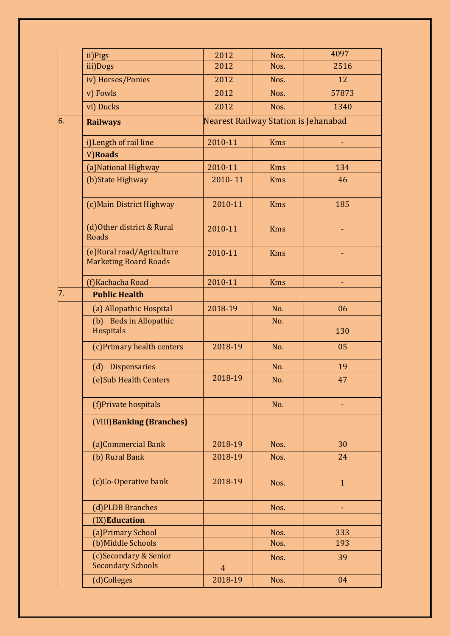|    | ii)Pigs                                                   | 2012           | Nos.                                 | 4097         |
|----|-----------------------------------------------------------|----------------|--------------------------------------|--------------|
|    | iii)Dogs                                                  | 2012           | Nos.                                 | 2516         |
|    | iv) Horses/Ponies                                         | 2012           | Nos.                                 | 12           |
|    | v) Fowls                                                  | 2012           | Nos.                                 | 57873        |
|    | vi) Ducks                                                 | 2012           | Nos.                                 | 1340         |
| 6. | <b>Railways</b>                                           |                | Nearest Railway Station is Jehanabad |              |
|    | i) Length of rail line                                    | 2010-11        | <b>Kms</b>                           |              |
|    | V)Roads                                                   |                |                                      |              |
|    | (a) National Highway                                      | 2010-11        | <b>Kms</b>                           | 134          |
|    | (b) State Highway                                         | 2010-11        | <b>Kms</b>                           | 46           |
|    | (c) Main District Highway                                 | 2010-11        | <b>Kms</b>                           | 185          |
|    | (d) Other district & Rural<br><b>Roads</b>                | 2010-11        | <b>Kms</b>                           |              |
|    | (e)Rural road/Agriculture<br><b>Marketing Board Roads</b> | 2010-11        | <b>Kms</b>                           |              |
|    | (f) Kachacha Road                                         | 2010-11        | <b>Kms</b>                           |              |
| 7. | <b>Public Health</b>                                      |                |                                      |              |
|    | (a) Allopathic Hospital                                   | 2018-19        | No.                                  | 06           |
|    | (b) Beds in Allopathic<br>Hospitals                       |                | No.                                  | 130          |
|    | (c) Primary health centers                                | 2018-19        | No.                                  | 05           |
|    | (d) Dispensaries                                          |                | No.                                  | 19           |
|    | (e) Sub Health Centers                                    | 2018-19        | No.                                  | 47           |
|    | (f)Private hospitals                                      |                | No.                                  |              |
|    | (VIII) Banking (Branches)                                 |                |                                      |              |
|    | (a)Commercial Bank                                        | 2018-19        | Nos.                                 | 30           |
|    | (b) Rural Bank                                            | 2018-19        | Nos.                                 | 24           |
|    | (c)Co-Operative bank                                      | 2018-19        | Nos.                                 | $\mathbf{1}$ |
|    | (d)PLDB Branches                                          |                | Nos.                                 |              |
|    | (IX)Education                                             |                |                                      |              |
|    | (a) Primary School                                        |                | Nos.                                 | 333          |
|    | (b) Middle Schools                                        |                | Nos.                                 | 193          |
|    | (c)Secondary & Senior<br><b>Secondary Schools</b>         | $\overline{4}$ | Nos.                                 | 39           |
|    | (d)Colleges                                               | 2018-19        | Nos.                                 | 04           |
|    |                                                           |                |                                      |              |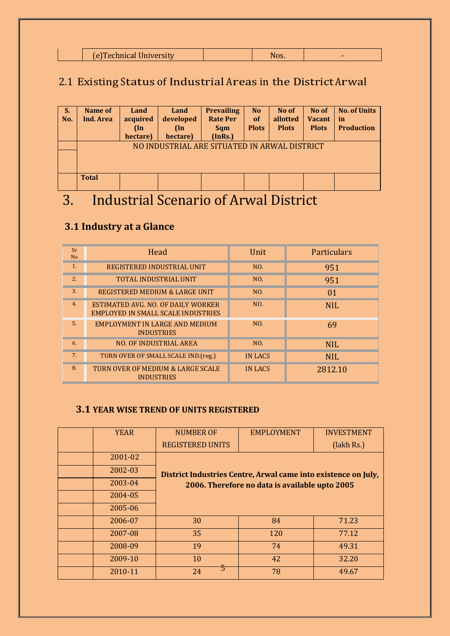| (e) Technical University<br>NOS. |
|----------------------------------|
|----------------------------------|

## 2.1 Existing Status of Industrial Areas in the District Arwal

| S.<br>No. | Name of<br>Ind. Area                         | Land<br>acquired<br>$(\ln$<br>hectare) | Land<br>developed<br>$(\ln$<br>hectare) | <b>Prevailing</b><br><b>Rate Per</b><br><b>Sqm</b><br>(InRs.) | <b>No</b><br><sub>of</sub><br><b>Plots</b> | No of<br>allotted<br><b>Plots</b> | No of<br><b>Vacant</b><br><b>Plots</b> | <b>No. of Units</b><br>in<br><b>Production</b> |
|-----------|----------------------------------------------|----------------------------------------|-----------------------------------------|---------------------------------------------------------------|--------------------------------------------|-----------------------------------|----------------------------------------|------------------------------------------------|
|           | NO INDUSTRIAL ARE SITUATED IN ARWAL DISTRICT |                                        |                                         |                                                               |                                            |                                   |                                        |                                                |
|           | <b>Total</b>                                 |                                        |                                         |                                                               |                                            |                                   |                                        |                                                |
| $\sim$    | - 7<br><b>The Contract Contract Contract</b> | $\sim$ $\sim$ $\sim$ $\sim$            |                                         | $\sim$<br>л.                                                  |                                            |                                   |                                        |                                                |

## 3. Industrial Scenario of Arwal District

### **3.1 Industry at a Glance**

| Sr<br><b>No</b> | Head                                                                            | Unit    | Particulars |
|-----------------|---------------------------------------------------------------------------------|---------|-------------|
| $\mathbf{1}$ .  | REGISTERED INDUSTRIAL UNIT                                                      | NO.     | 951         |
| 2.              | TOTAL INDUSTRIAL UNIT                                                           | NO.     | 951         |
| 3.              | REGISTERED MEDIUM & LARGE UNIT                                                  | NO.     | 01          |
| 4.              | ESTIMATED AVG. NO. OF DAILY WORKER<br><b>EMPLOYED IN SMALL SCALE INDUSTRIES</b> | NO.     | <b>NIL</b>  |
| 5.              | <b>EMPLOYMENT IN LARGE AND MEDIUM</b><br><b>INDUSTRIES</b>                      | NO.     | 69          |
| 6.              | <b>NO. OF INDUSTRIAL AREA</b>                                                   | NO.     | <b>NIL</b>  |
| 7 <sub>1</sub>  | TURN OVER OF SMALL SCALE IND. (reg.)                                            | IN LACS | <b>NIL</b>  |
| 8.              | TURN OVER OF MEDIUM & LARGE SCALE<br><b>INDUSTRIES</b>                          | IN LACS | 2812.10     |

#### **3.1 YEAR WISE TREND OF UNITS REGISTERED**

| <b>YEAR</b> | NUMBER OF                                                                                                        | <b>EMPLOYMENT</b> | <b>INVESTMENT</b> |  |
|-------------|------------------------------------------------------------------------------------------------------------------|-------------------|-------------------|--|
|             | <b>REGISTERED UNITS</b>                                                                                          |                   | (lakh Rs.)        |  |
| 2001-02     |                                                                                                                  |                   |                   |  |
| 2002-03     | District Industries Centre, Arwal came into existence on July,<br>2006. Therefore no data is available upto 2005 |                   |                   |  |
| 2003-04     |                                                                                                                  |                   |                   |  |
| 2004-05     |                                                                                                                  |                   |                   |  |
| 2005-06     |                                                                                                                  |                   |                   |  |
| 2006-07     | 30                                                                                                               | 84                | 71.23             |  |
| 2007-08     | 35                                                                                                               | 120               | 77.12             |  |
| 2008-09     | 19                                                                                                               | 74                | 49.31             |  |
| 2009-10     | 10                                                                                                               | 42                | 32.20             |  |
| 2010-11     | 24                                                                                                               | 78                | 49.67             |  |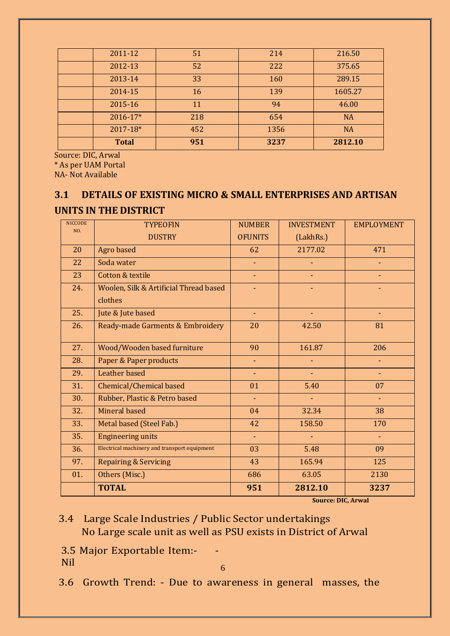| <b>Total</b> | 951 | 3237 | 2812.10   |
|--------------|-----|------|-----------|
| 2017-18*     | 452 | 1356 | <b>NA</b> |
| 2016-17*     | 218 | 654  | <b>NA</b> |
| 2015-16      | 11  | 94   | 46.00     |
| 2014-15      | 16  | 139  | 1605.27   |
| 2013-14      | 33  | 160  | 289.15    |
| 2012-13      | 52  | 222  | 375.65    |
| 2011-12      | 51  | 214  | 216.50    |
|              |     |      |           |

Source: DIC, Arwal

\* As per UAM Portal

NA- Not Available

#### **3.1 DETAILS OF EXISTING MICRO & SMALL ENTERPRISES AND ARTISAN UNITS IN THE DISTRICT**

| <b>NICCODE</b><br>NO. | <b>TYPEOFIN</b>                              | <b>NUMBER</b>  | <b>INVESTMENT</b> | <b>EMPLOYMENT</b> |
|-----------------------|----------------------------------------------|----------------|-------------------|-------------------|
|                       | <b>DUSTRY</b>                                | <b>OFUNITS</b> | (LakhRs.)         |                   |
| 20                    | Agro based                                   | 62             | 2177.02           | 471               |
| 22                    | Soda water                                   |                |                   |                   |
| 23                    | Cotton & textile                             | $\blacksquare$ |                   |                   |
| 24.                   | Woolen, Silk & Artificial Thread based       |                |                   |                   |
|                       | clothes                                      |                |                   |                   |
| 25.                   | Jute & Jute based                            | ÷.             |                   |                   |
| 26.                   | Ready-made Garments & Embroidery             | 20             | 42.50             | 81                |
|                       |                                              |                |                   |                   |
| 27.                   | Wood/Wooden based furniture                  | 90             | 161.87            | 206               |
| 28.                   | Paper & Paper products                       | $\blacksquare$ |                   |                   |
| 29.                   | Leather based                                | $\blacksquare$ | $\blacksquare$    |                   |
| 31.                   | Chemical/Chemical based                      | 01             | 5.40              | 07                |
| 30.                   | Rubber, Plastic & Petro based                | $\blacksquare$ |                   |                   |
| 32.                   | Mineral based                                | 04             | 32.34             | 38                |
| 33.                   | Metal based (Steel Fab.)                     | 42             | 158.50            | 170               |
| 35.                   | <b>Engineering units</b>                     | ÷.             |                   |                   |
| 36.                   | Electrical machinery and transport equipment | 03             | 5.48              | 09                |
| 97.                   | <b>Repairing &amp; Servicing</b>             | 43             | 165.94            | 125               |
| 01.                   | Others (Misc.)                               | 686            | 63.05             | 2130              |
|                       | <b>TOTAL</b>                                 | 951            | 2812.10           | 3237              |

**Source: DIC, Arwal**

#### 3.4 Large Scale Industries / Public Sector undertakings No Large scale unit as well as PSU exists in District of Arwal

3.5 Major Exportable Item:- - Nil

6

3.6 Growth Trend: - Due to awareness in general masses, the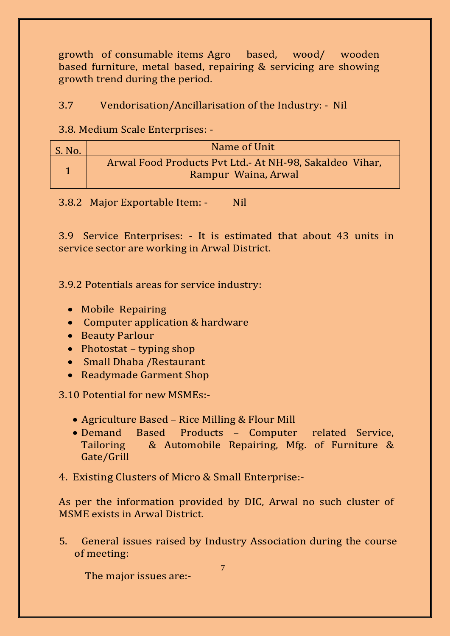growth of consumable items Agro based, wood/ wooden based furniture, metal based, repairing & servicing are showing growth trend during the period.

#### 3.7 Vendorisation/Ancillarisation of the Industry: - Nil

3.8. Medium Scale Enterprises: -

| S. No. | Name of Unit                                                                    |
|--------|---------------------------------------------------------------------------------|
|        | Arwal Food Products Pvt Ltd. - At NH-98, Sakaldeo Vihar,<br>Rampur Waina, Arwal |

3.8.2 Major Exportable Item: - Nil

3.9 Service Enterprises: - It is estimated that about 43 units in service sector are working in Arwal District.

3.9.2 Potentials areas for service industry:

- Mobile Repairing
- Computer application & hardware
- Beauty Parlour
- Photostat typing shop
- Small Dhaba / Restaurant
- Readymade Garment Shop

3.10 Potential for new MSMEs:-

- Agriculture Based Rice Milling & Flour Mill
- Demand Based Products Computer related Service, Tailoring & Automobile Repairing, Mfg. of Furniture & Gate/Grill
- 4. Existing Clusters of Micro & Small Enterprise:-

As per the information provided by DIC, Arwal no such cluster of MSME exists in Arwal District.

5. General issues raised by Industry Association during the course of meeting:

The major issues are:-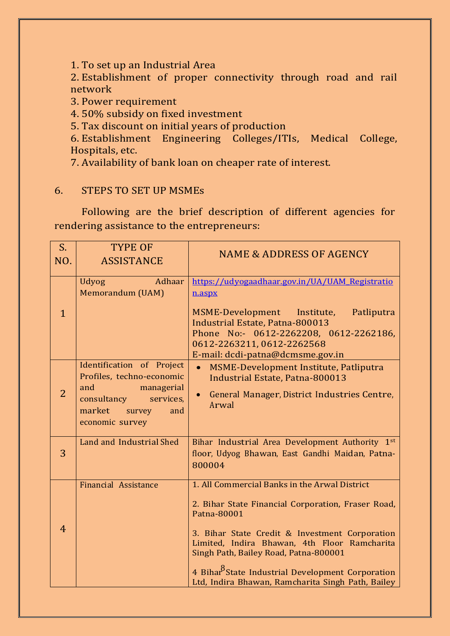1. To set up an Industrial Area

2. Establishment of proper connectivity through road and rail network

3. Power requirement

4. 50% subsidy on fixed investment

5. Tax discount on initial years of production

6. Establishment Engineering Colleges/ITIs, Medical College, Hospitals, etc.

7. Availability of bank loan on cheaper rate of interest.

#### 6. STEPS TO SET UP MSMEs

Following are the brief description of different agencies for rendering assistance to the entrepreneurs:

| $S_{\cdot}$    | <b>TYPE OF</b>                                                                                                                                        |                                                                                                                                                                                                                                                                                                                                                                                     |
|----------------|-------------------------------------------------------------------------------------------------------------------------------------------------------|-------------------------------------------------------------------------------------------------------------------------------------------------------------------------------------------------------------------------------------------------------------------------------------------------------------------------------------------------------------------------------------|
| NO.            | <b>ASSISTANCE</b>                                                                                                                                     | <b>NAME &amp; ADDRESS OF AGENCY</b>                                                                                                                                                                                                                                                                                                                                                 |
| $\mathbf{1}$   | Adhaar<br><b>Udyog</b><br>Memorandum (UAM)                                                                                                            | https://udyogaadhaar.gov.in/UA/UAM_Registratio<br>n.aspx<br>MSME-Development Institute,<br>Patliputra<br><b>Industrial Estate, Patna-800013</b><br>Phone No:- 0612-2262208, 0612-2262186,<br>0612-2263211, 0612-2262568<br>E-mail: dcdi-patna@dcmsme.gov.in                                                                                                                         |
| $\overline{2}$ | Identification of Project<br>Profiles, techno-economic<br>and<br>managerial<br>consultancy<br>services,<br>market<br>survey<br>and<br>economic survey | MSME-Development Institute, Patliputra<br>Industrial Estate, Patna-800013<br>General Manager, District Industries Centre,<br>$\bullet$<br>Arwal                                                                                                                                                                                                                                     |
| 3              | <b>Land and Industrial Shed</b>                                                                                                                       | Bihar Industrial Area Development Authority 1st<br>floor, Udyog Bhawan, East Gandhi Maidan, Patna-<br>800004                                                                                                                                                                                                                                                                        |
| $\overline{4}$ | Financial Assistance                                                                                                                                  | 1. All Commercial Banks in the Arwal District<br>2. Bihar State Financial Corporation, Fraser Road,<br>Patna-80001<br>3. Bihar State Credit & Investment Corporation<br>Limited, Indira Bhawan, 4th Floor Ramcharita<br>Singh Path, Bailey Road, Patna-800001<br>4 Bihar <sup>o</sup> State Industrial Development Corporation<br>Ltd, Indira Bhawan, Ramcharita Singh Path, Bailey |